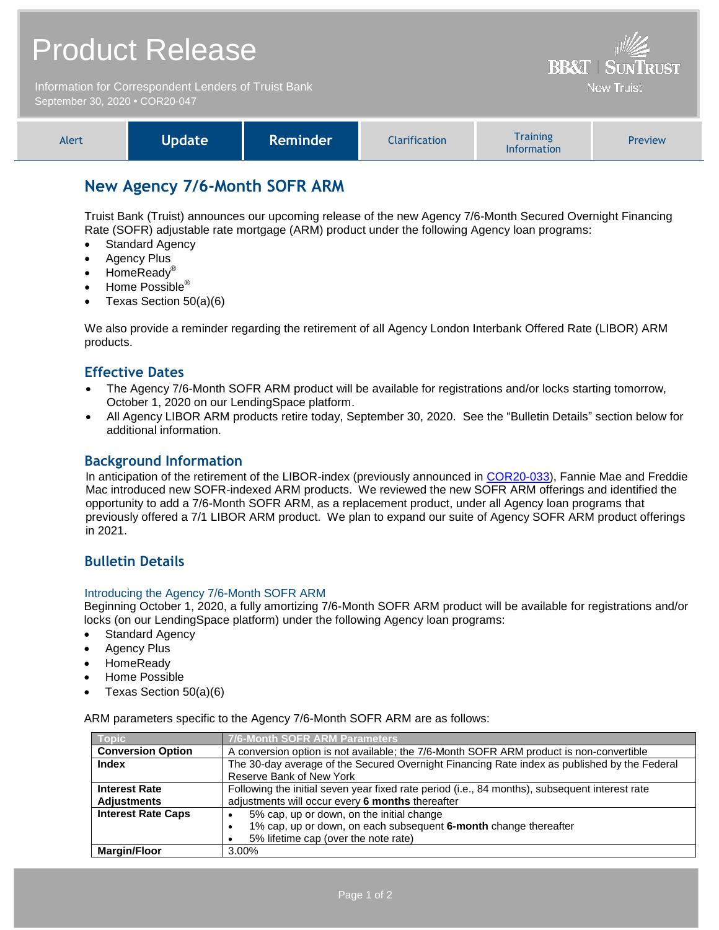| <b>Product Release</b>                                                                 | $\frac{1}{2}$<br><b>BB&amp;T   SUNTRUST</b> |
|----------------------------------------------------------------------------------------|---------------------------------------------|
| Information for Correspondent Lenders of Truist Bank<br>September 30, 2020 • COR20-047 | <b>Now Truist</b>                           |

| <b>Alert</b> | Update <sup>1</sup> | <b>Reminder</b> | Clarification | <b>Training</b><br><b>Information</b> | Preview |
|--------------|---------------------|-----------------|---------------|---------------------------------------|---------|
|--------------|---------------------|-----------------|---------------|---------------------------------------|---------|

# **New Agency 7/6-Month SOFR ARM**

Truist Bank (Truist) announces our upcoming release of the new Agency 7/6-Month Secured Overnight Financing Rate (SOFR) adjustable rate mortgage (ARM) product under the following Agency loan programs:

- Standard Agency
- Agency Plus
- HomeReadv<sup>®</sup>
- Home Possible<sup>®</sup>
- Texas Section 50(a)(6)

We also provide a reminder regarding the retirement of all Agency London Interbank Offered Rate (LIBOR) ARM products.

### **Effective Dates**

- The Agency 7/6-Month SOFR ARM product will be available for registrations and/or locks starting tomorrow, October 1, 2020 on our LendingSpace platform.
- All Agency LIBOR ARM products retire today, September 30, 2020. See the "Bulletin Details" section below for additional information.

### **Background Information**

In anticipation of the retirement of the LIBOR-index (previously announced in [COR20-033\)](https://www.truistsellerguide.com/Manual/cor/bulletins/archive/Cr20-033.pdf), Fannie Mae and Freddie Mac introduced new SOFR-indexed ARM products. We reviewed the new SOFR ARM offerings and identified the opportunity to add a 7/6-Month SOFR ARM, as a replacement product, under all Agency loan programs that previously offered a 7/1 LIBOR ARM product. We plan to expand our suite of Agency SOFR ARM product offerings in 2021.

# **Bulletin Details**

#### Introducing the Agency 7/6-Month SOFR ARM

Beginning October 1, 2020, a fully amortizing 7/6-Month SOFR ARM product will be available for registrations and/or locks (on our LendingSpace platform) under the following Agency loan programs:

- Standard Agency
- Agency Plus
- HomeReady
- Home Possible
- Texas Section 50(a)(6)

ARM parameters specific to the Agency 7/6-Month SOFR ARM are as follows:

| Topic                     | 7/6-Month SOFR ARM Parameters                                                                  |  |  |
|---------------------------|------------------------------------------------------------------------------------------------|--|--|
| <b>Conversion Option</b>  | A conversion option is not available; the 7/6-Month SOFR ARM product is non-convertible        |  |  |
| <b>Index</b>              | The 30-day average of the Secured Overnight Financing Rate index as published by the Federal   |  |  |
|                           | Reserve Bank of New York                                                                       |  |  |
| <b>Interest Rate</b>      | Following the initial seven year fixed rate period (i.e., 84 months), subsequent interest rate |  |  |
| <b>Adjustments</b>        | adjustments will occur every 6 months thereafter                                               |  |  |
| <b>Interest Rate Caps</b> | 5% cap, up or down, on the initial change                                                      |  |  |
|                           | 1% cap, up or down, on each subsequent 6-month change thereafter                               |  |  |
|                           | 5% lifetime cap (over the note rate)                                                           |  |  |
| <b>Margin/Floor</b>       | 3.00%                                                                                          |  |  |